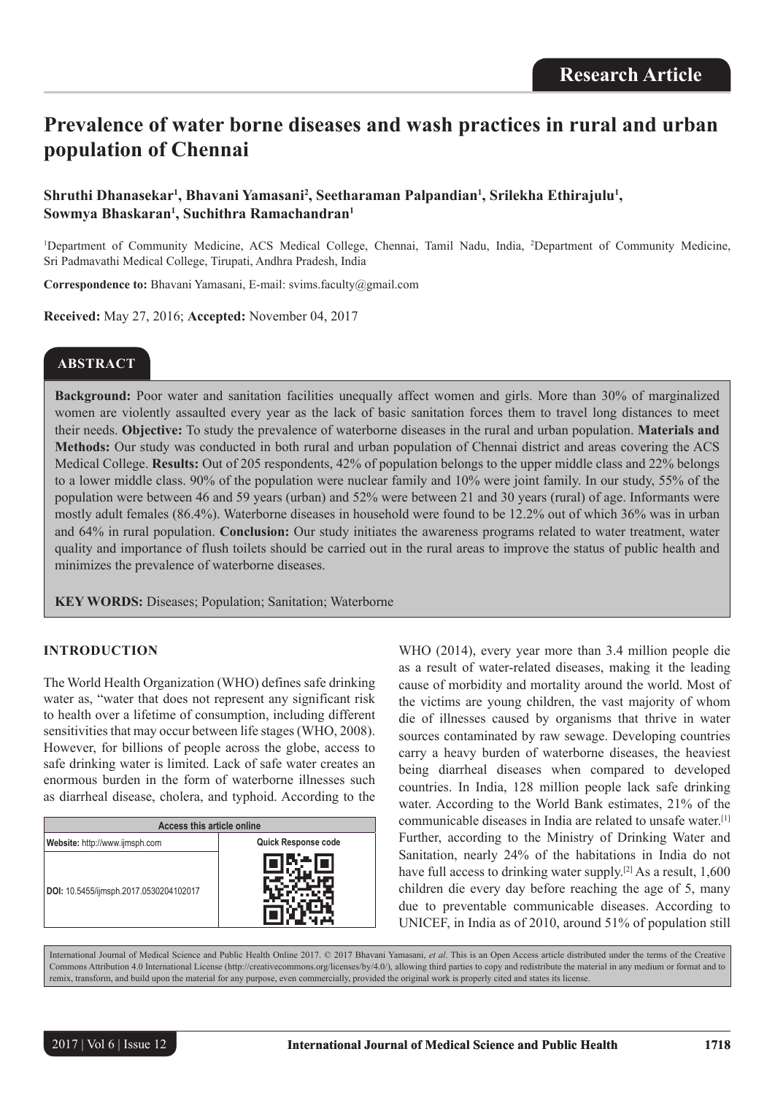# **Prevalence of water borne diseases and wash practices in rural and urban population of Chennai**

# Shruthi Dhanasekar<sup>ı</sup>, Bhavani Yamasani<sup>2</sup>, Seetharaman Palpandian<sup>ı</sup>, Srilekha Ethirajulu<sup>1</sup>, **Sowmya Bhaskaran1 , Suchithra Ramachandran1**

<sup>1</sup>Department of Community Medicine, ACS Medical College, Chennai, Tamil Nadu, India, <sup>2</sup>Department of Community Medicine, Sri Padmavathi Medical College, Tirupati, Andhra Pradesh, India

**Correspondence to:** Bhavani Yamasani, E-mail: svims.faculty@gmail.com

**Received:** May 27, 2016; **Accepted:** November 04, 2017

# **ABSTRACT**

**Background:** Poor water and sanitation facilities unequally affect women and girls. More than 30% of marginalized women are violently assaulted every year as the lack of basic sanitation forces them to travel long distances to meet their needs. **Objective:** To study the prevalence of waterborne diseases in the rural and urban population. **Materials and Methods:** Our study was conducted in both rural and urban population of Chennai district and areas covering the ACS Medical College. **Results:** Out of 205 respondents, 42% of population belongs to the upper middle class and 22% belongs to a lower middle class. 90% of the population were nuclear family and 10% were joint family. In our study, 55% of the population were between 46 and 59 years (urban) and 52% were between 21 and 30 years (rural) of age. Informants were mostly adult females (86.4%). Waterborne diseases in household were found to be 12.2% out of which 36% was in urban and 64% in rural population. **Conclusion:** Our study initiates the awareness programs related to water treatment, water quality and importance of flush toilets should be carried out in the rural areas to improve the status of public health and minimizes the prevalence of waterborne diseases.

**KEY WORDS:** Diseases; Population; Sanitation; Waterborne

## **INTRODUCTION**

The World Health Organization (WHO) defines safe drinking water as, "water that does not represent any significant risk to health over a lifetime of consumption, including different sensitivities that may occur between life stages (WHO, 2008). However, for billions of people across the globe, access to safe drinking water is limited. Lack of safe water creates an enormous burden in the form of waterborne illnesses such as diarrheal disease, cholera, and typhoid. According to the

| Access this article online             |                            |  |  |
|----------------------------------------|----------------------------|--|--|
| Website: http://www.ijmsph.com         | <b>Quick Response code</b> |  |  |
| DOI: 10.5455/ijmsph.2017.0530204102017 |                            |  |  |

WHO (2014), every year more than 3.4 million people die as a result of water-related diseases, making it the leading cause of morbidity and mortality around the world. Most of the victims are young children, the vast majority of whom die of illnesses caused by organisms that thrive in water sources contaminated by raw sewage. Developing countries carry a heavy burden of waterborne diseases, the heaviest being diarrheal diseases when compared to developed countries. In India, 128 million people lack safe drinking water. According to the World Bank estimates, 21% of the communicable diseases in India are related to unsafe water.[1] Further, according to the Ministry of Drinking Water and Sanitation, nearly 24% of the habitations in India do not have full access to drinking water supply.<sup>[2]</sup> As a result, 1,600 children die every day before reaching the age of 5, many due to preventable communicable diseases. According to UNICEF, in India as of 2010, around 51% of population still

International Journal of Medical Science and Public Health Online 2017. © 2017 Bhavani Yamasani, *et al*. This is an Open Access article distributed under the terms of the Creative Commons Attribution 4.0 International License (http://creativecommons.org/licenses/by/4.0/), allowing third parties to copy and redistribute the material in any medium or format and to remix, transform, and build upon the material for any purpose, even commercially, provided the original work is properly cited and states its license.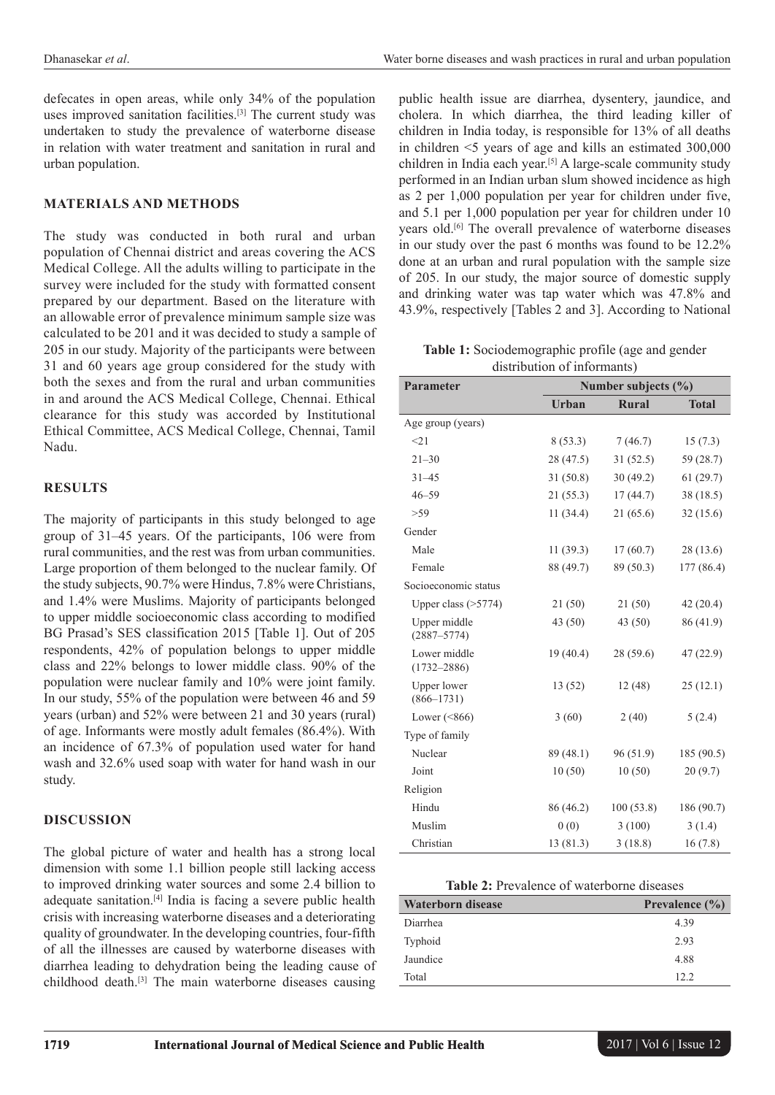defecates in open areas, while only 34% of the population uses improved sanitation facilities.<sup>[3]</sup> The current study was undertaken to study the prevalence of waterborne disease in relation with water treatment and sanitation in rural and urban population.

#### **MATERIALS AND METHODS**

The study was conducted in both rural and urban population of Chennai district and areas covering the ACS Medical College. All the adults willing to participate in the survey were included for the study with formatted consent prepared by our department. Based on the literature with an allowable error of prevalence minimum sample size was calculated to be 201 and it was decided to study a sample of 205 in our study. Majority of the participants were between 31 and 60 years age group considered for the study with both the sexes and from the rural and urban communities in and around the ACS Medical College, Chennai. Ethical clearance for this study was accorded by Institutional Ethical Committee, ACS Medical College, Chennai, Tamil Nadu.

#### **RESULTS**

The majority of participants in this study belonged to age group of 31–45 years. Of the participants, 106 were from rural communities, and the rest was from urban communities. Large proportion of them belonged to the nuclear family. Of the study subjects, 90.7% were Hindus, 7.8% were Christians, and 1.4% were Muslims. Majority of participants belonged to upper middle socioeconomic class according to modified BG Prasad's SES classification 2015 [Table 1]. Out of 205 respondents, 42% of population belongs to upper middle class and 22% belongs to lower middle class. 90% of the population were nuclear family and 10% were joint family. In our study, 55% of the population were between 46 and 59 years (urban) and 52% were between 21 and 30 years (rural) of age. Informants were mostly adult females (86.4%). With an incidence of 67.3% of population used water for hand wash and 32.6% used soap with water for hand wash in our study.

#### **DISCUSSION**

The global picture of water and health has a strong local dimension with some 1.1 billion people still lacking access to improved drinking water sources and some 2.4 billion to adequate sanitation.[4] India is facing a severe public health crisis with increasing waterborne diseases and a deteriorating quality of groundwater. In the developing countries, four-fifth of all the illnesses are caused by waterborne diseases with diarrhea leading to dehydration being the leading cause of childhood death.[3] The main waterborne diseases causing

public health issue are diarrhea, dysentery, jaundice, and cholera. In which diarrhea, the third leading killer of children in India today, is responsible for 13% of all deaths in children <5 years of age and kills an estimated 300,000 children in India each year.[5] A large-scale community study performed in an Indian urban slum showed incidence as high as 2 per 1,000 population per year for children under five, and 5.1 per 1,000 population per year for children under 10 years old.[6] The overall prevalence of waterborne diseases in our study over the past 6 months was found to be 12.2% done at an urban and rural population with the sample size of 205. In our study, the major source of domestic supply and drinking water was tap water which was 47.8% and 43.9%, respectively [Tables 2 and 3]. According to National

**Table 1:** Sociodemographic profile (age and gender distribution of informants)

| <b>Parameter</b>                     | Number subjects $(\% )$ |              |              |  |
|--------------------------------------|-------------------------|--------------|--------------|--|
|                                      | Urban                   | <b>Rural</b> | <b>Total</b> |  |
| Age group (years)                    |                         |              |              |  |
| <21                                  | 8(53.3)                 | 7(46.7)      | 15(7.3)      |  |
| $21 - 30$                            | 28(47.5)                | 31(52.5)     | 59 (28.7)    |  |
| $31 - 45$                            | 31(50.8)                | 30(49.2)     | 61(29.7)     |  |
| $46 - 59$                            | 21(55.3)                | 17(44.7)     | 38 (18.5)    |  |
| >59                                  | 11(34.4)                | 21(65.6)     | 32(15.6)     |  |
| Gender                               |                         |              |              |  |
| Male                                 | 11(39.3)                | 17(60.7)     | 28 (13.6)    |  |
| Female                               | 88 (49.7)               | 89 (50.3)    | 177 (86.4)   |  |
| Socioeconomic status                 |                         |              |              |  |
| Upper class $($ >5774)               | 21(50)                  | 21(50)       | 42(20.4)     |  |
| Upper middle<br>$(2887 - 5774)$      | 43(50)                  | 43 (50)      | 86 (41.9)    |  |
| Lower middle<br>$(1732 - 2886)$      | 19(40.4)                | 28(59.6)     | 47(22.9)     |  |
| <b>Upper lower</b><br>$(866 - 1731)$ | 13 (52)                 | 12(48)       | 25(12.1)     |  |
| Lower $(< 866)$                      | 3(60)                   | 2(40)        | 5(2.4)       |  |
| Type of family                       |                         |              |              |  |
| Nuclear                              | 89 (48.1)               | 96 (51.9)    | 185 (90.5)   |  |
| Joint                                | 10(50)                  | 10(50)       | 20(9.7)      |  |
| Religion                             |                         |              |              |  |
| Hindu                                | 86 (46.2)               | 100(53.8)    | 186 (90.7)   |  |
| Muslim                               | 0(0)                    | 3(100)       | 3(1.4)       |  |
| Christian                            | 13(81.3)                | 3(18.8)      | 16(7.8)      |  |

| <b>Table 2:</b> Prevalence of waterborne diseases |  |
|---------------------------------------------------|--|
|---------------------------------------------------|--|

| <b>Waterborn disease</b> | Prevalence $(\% )$ |
|--------------------------|--------------------|
| Diarrhea                 | 4.39               |
| Typhoid                  | 2.93               |
| Jaundice                 | 4.88               |
| Total                    | 122                |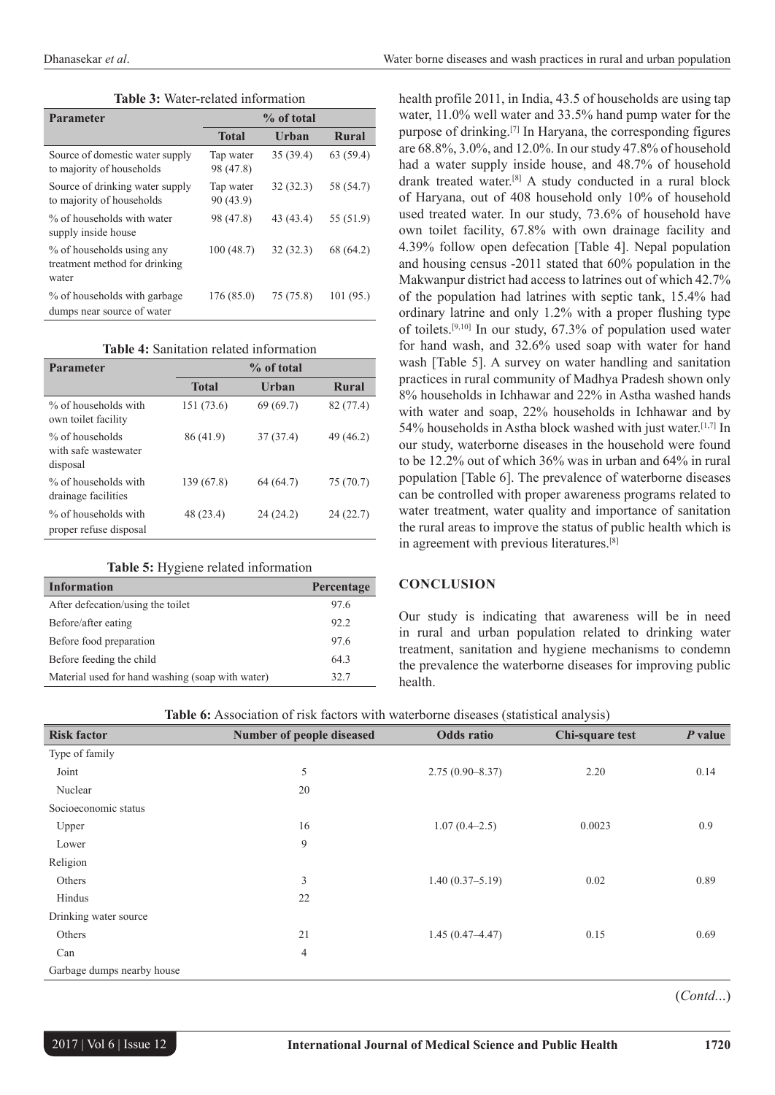| <b>Table 3: Water-related information</b> |  |
|-------------------------------------------|--|
|                                           |  |

| <b>Parameter</b>                                                    | % of total             |           |           |
|---------------------------------------------------------------------|------------------------|-----------|-----------|
|                                                                     | <b>Total</b>           | Urban     | Rural     |
| Source of domestic water supply<br>to majority of households        | Tap water<br>98 (47.8) | 35(39.4)  | 63(59.4)  |
| Source of drinking water supply<br>to majority of households        | Tap water<br>90 (43.9) | 32(32.3)  | 58 (54.7) |
| % of households with water<br>supply inside house                   | 98 (47.8)              | 43 (43.4) | 55 (51.9) |
| % of households using any<br>treatment method for drinking<br>water | 100(48.7)              | 32(32.3)  | 68 (64.2) |
| % of households with garbage<br>dumps near source of water          | 176 (85.0)             | 75 (75.8) | 101(95)   |

|  | Table 4: Sanitation related information |
|--|-----------------------------------------|
|  |                                         |

| <b>Parameter</b>                                    | % of total   |           |              |
|-----------------------------------------------------|--------------|-----------|--------------|
|                                                     | <b>Total</b> | Urban     | <b>Rural</b> |
| % of households with<br>own toilet facility         | 151 (73.6)   | 69(69.7)  | 82 (77.4)    |
| % of households<br>with safe wastewater<br>disposal | 86 (41.9)    | 37(37.4)  | 49 (46.2)    |
| % of households with<br>drainage facilities         | 139 (67.8)   | 64 (64.7) | 75 (70.7)    |
| % of households with<br>proper refuse disposal      | 48 (23.4)    | 24(24.2)  | 24(22.7)     |

#### **Table 5:** Hygiene related information

| <b>Information</b>                               | Percentage |
|--------------------------------------------------|------------|
| After defecation/using the toilet                | 97.6       |
| Before/after eating                              | 92.2       |
| Before food preparation                          | 976        |
| Before feeding the child                         | 643        |
| Material used for hand washing (soap with water) | 32.7       |

health profile 2011, in India, 43.5 of households are using tap water, 11.0% well water and 33.5% hand pump water for the purpose of drinking.[7] In Haryana, the corresponding figures are 68.8%, 3.0%, and 12.0%. In our study 47.8% of household had a water supply inside house, and 48.7% of household drank treated water.[8] A study conducted in a rural block of Haryana, out of 408 household only 10% of household used treated water. In our study, 73.6% of household have own toilet facility, 67.8% with own drainage facility and 4.39% follow open defecation [Table 4]. Nepal population and housing census -2011 stated that 60% population in the Makwanpur district had access to latrines out of which 42.7% of the population had latrines with septic tank, 15.4% had ordinary latrine and only 1.2% with a proper flushing type of toilets.[9,10] In our study, 67.3% of population used water for hand wash, and 32.6% used soap with water for hand wash [Table 5]. A survey on water handling and sanitation practices in rural community of Madhya Pradesh shown only 8% households in Ichhawar and 22% in Astha washed hands with water and soap, 22% households in Ichhawar and by 54% households in Astha block washed with just water.[1,7] In our study, waterborne diseases in the household were found to be 12.2% out of which 36% was in urban and 64% in rural population [Table 6]. The prevalence of waterborne diseases can be controlled with proper awareness programs related to water treatment, water quality and importance of sanitation the rural areas to improve the status of public health which is in agreement with previous literatures.[8]

#### **CONCLUSION**

Our study is indicating that awareness will be in need in rural and urban population related to drinking water treatment, sanitation and hygiene mechanisms to condemn the prevalence the waterborne diseases for improving public health.

| Table 6: Association of risk factors with waterborne diseases (statistical analysis) |  |  |
|--------------------------------------------------------------------------------------|--|--|
|--------------------------------------------------------------------------------------|--|--|

| <b>Risk factor</b>         | Number of people diseased | Odds ratio          | Chi-square test | $P$ value |
|----------------------------|---------------------------|---------------------|-----------------|-----------|
| Type of family             |                           |                     |                 |           |
| Joint                      | 5                         | $2.75(0.90 - 8.37)$ | 2.20            | 0.14      |
| Nuclear                    | 20                        |                     |                 |           |
| Socioeconomic status       |                           |                     |                 |           |
| Upper                      | 16                        | $1.07(0.4-2.5)$     | 0.0023          | 0.9       |
| Lower                      | 9                         |                     |                 |           |
| Religion                   |                           |                     |                 |           |
| Others                     | 3                         | $1.40(0.37 - 5.19)$ | 0.02            | 0.89      |
| Hindus                     | 22                        |                     |                 |           |
| Drinking water source      |                           |                     |                 |           |
| Others                     | 21                        | $1.45(0.47 - 4.47)$ | 0.15            | 0.69      |
| Can                        | 4                         |                     |                 |           |
| Garbage dumps nearby house |                           |                     |                 |           |

(*Contd.*..)